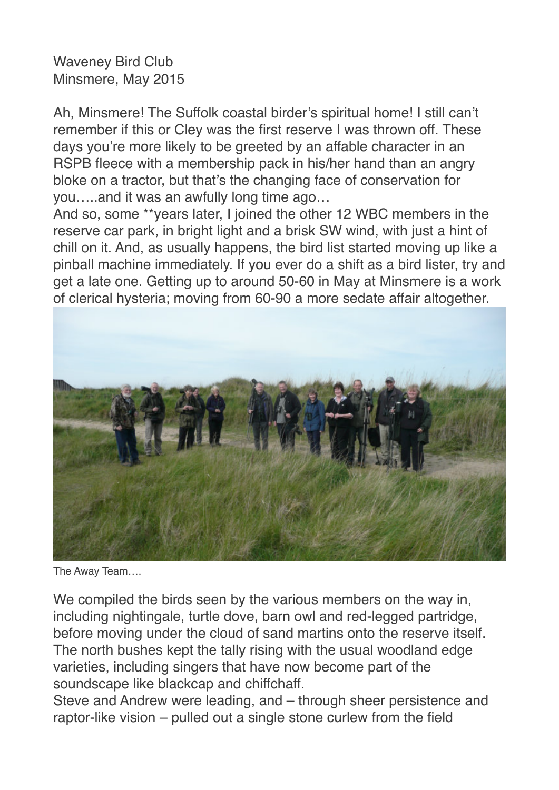## Waveney Bird Club Minsmere, May 2015

Ah, Minsmere! The Suffolk coastal birder's spiritual home! I still can't remember if this or Cley was the first reserve I was thrown off. These days you're more likely to be greeted by an affable character in an RSPB fleece with a membership pack in his/her hand than an angry bloke on a tractor, but that's the changing face of conservation for you…..and it was an awfully long time ago…

And so, some \*\*years later, I joined the other 12 WBC members in the reserve car park, in bright light and a brisk SW wind, with just a hint of chill on it. And, as usually happens, the bird list started moving up like a pinball machine immediately. If you ever do a shift as a bird lister, try and get a late one. Getting up to around 50-60 in May at Minsmere is a work of clerical hysteria; moving from 60-90 a more sedate affair altogether.



The Away Team….

We compiled the birds seen by the various members on the way in, including nightingale, turtle dove, barn owl and red-legged partridge, before moving under the cloud of sand martins onto the reserve itself. The north bushes kept the tally rising with the usual woodland edge varieties, including singers that have now become part of the soundscape like blackcap and chiffchaff.

Steve and Andrew were leading, and – through sheer persistence and raptor-like vision – pulled out a single stone curlew from the field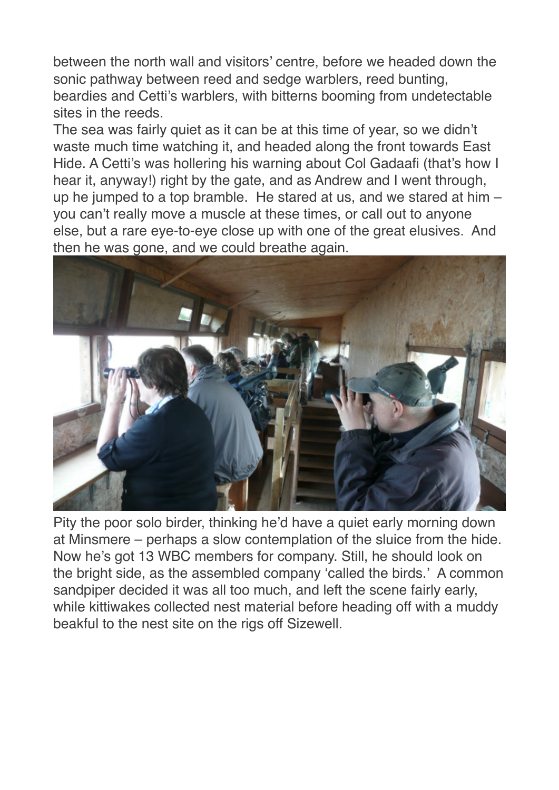between the north wall and visitors' centre, before we headed down the sonic pathway between reed and sedge warblers, reed bunting, beardies and Cetti's warblers, with bitterns booming from undetectable sites in the reeds.

The sea was fairly quiet as it can be at this time of year, so we didn't waste much time watching it, and headed along the front towards East Hide. A Cetti's was hollering his warning about Col Gadaafi (that's how I hear it, anyway!) right by the gate, and as Andrew and I went through, up he jumped to a top bramble. He stared at us, and we stared at him  $$ you can't really move a muscle at these times, or call out to anyone else, but a rare eye-to-eye close up with one of the great elusives. And then he was gone, and we could breathe again.



Pity the poor solo birder, thinking he'd have a quiet early morning down at Minsmere – perhaps a slow contemplation of the sluice from the hide. Now he's got 13 WBC members for company. Still, he should look on the bright side, as the assembled company 'called the birds.' A common sandpiper decided it was all too much, and left the scene fairly early, while kittiwakes collected nest material before heading off with a muddy beakful to the nest site on the rigs off Sizewell.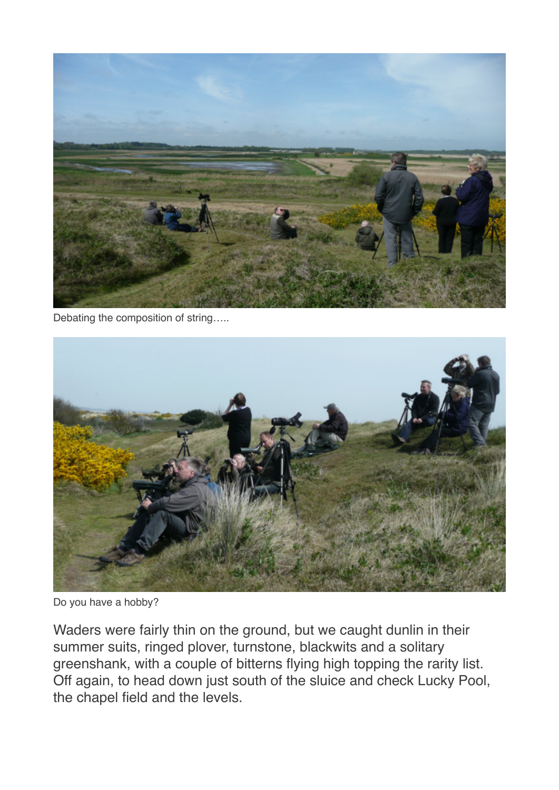

Debating the composition of string…..



Do you have a hobby?

Waders were fairly thin on the ground, but we caught dunlin in their summer suits, ringed plover, turnstone, blackwits and a solitary greenshank, with a couple of bitterns flying high topping the rarity list. Off again, to head down just south of the sluice and check Lucky Pool, the chapel field and the levels.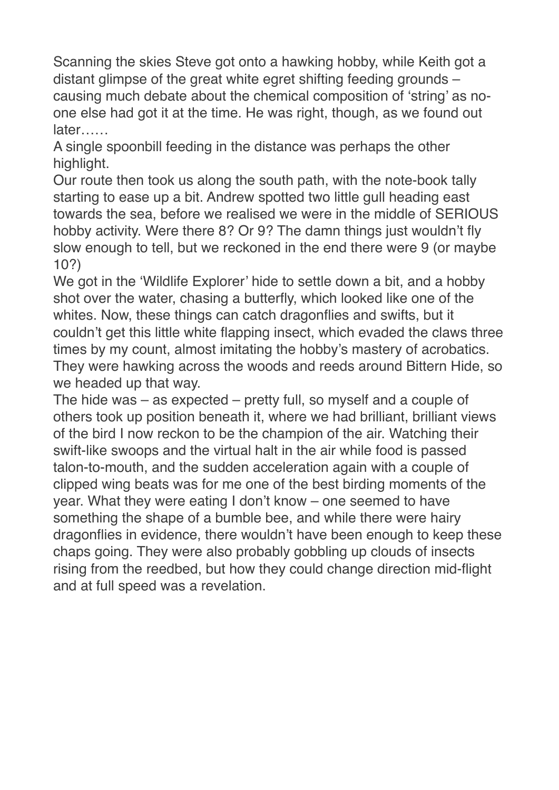Scanning the skies Steve got onto a hawking hobby, while Keith got a distant glimpse of the great white egret shifting feeding grounds – causing much debate about the chemical composition of 'string' as noone else had got it at the time. He was right, though, as we found out later……

A single spoonbill feeding in the distance was perhaps the other highlight.

Our route then took us along the south path, with the note-book tally starting to ease up a bit. Andrew spotted two little gull heading east towards the sea, before we realised we were in the middle of SERIOUS hobby activity. Were there 8? Or 9? The damn things just wouldn't fly slow enough to tell, but we reckoned in the end there were 9 (or maybe 10?)

We got in the 'Wildlife Explorer' hide to settle down a bit, and a hobby shot over the water, chasing a butterfly, which looked like one of the whites. Now, these things can catch dragonflies and swifts, but it couldn't get this little white flapping insect, which evaded the claws three times by my count, almost imitating the hobby's mastery of acrobatics. They were hawking across the woods and reeds around Bittern Hide, so we headed up that way.

The hide was – as expected – pretty full, so myself and a couple of others took up position beneath it, where we had brilliant, brilliant views of the bird I now reckon to be the champion of the air. Watching their swift-like swoops and the virtual halt in the air while food is passed talon-to-mouth, and the sudden acceleration again with a couple of clipped wing beats was for me one of the best birding moments of the year. What they were eating I don't know – one seemed to have something the shape of a bumble bee, and while there were hairy dragonflies in evidence, there wouldn't have been enough to keep these chaps going. They were also probably gobbling up clouds of insects rising from the reedbed, but how they could change direction mid-flight and at full speed was a revelation.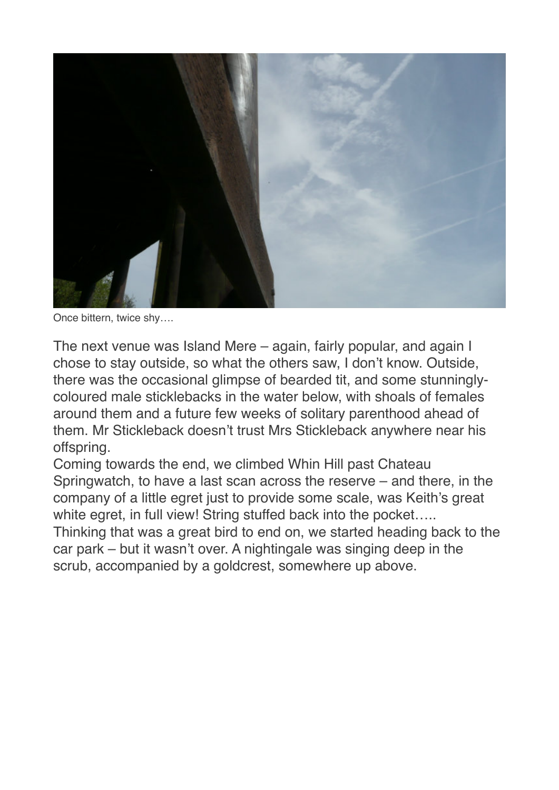

Once bittern, twice shy….

The next venue was Island Mere – again, fairly popular, and again I chose to stay outside, so what the others saw, I don't know. Outside, there was the occasional glimpse of bearded tit, and some stunninglycoloured male sticklebacks in the water below, with shoals of females around them and a future few weeks of solitary parenthood ahead of them. Mr Stickleback doesn't trust Mrs Stickleback anywhere near his offspring.

Coming towards the end, we climbed Whin Hill past Chateau Springwatch, to have a last scan across the reserve – and there, in the company of a little egret just to provide some scale, was Keith's great white egret, in full view! String stuffed back into the pocket..... Thinking that was a great bird to end on, we started heading back to the car park – but it wasn't over. A nightingale was singing deep in the scrub, accompanied by a goldcrest, somewhere up above.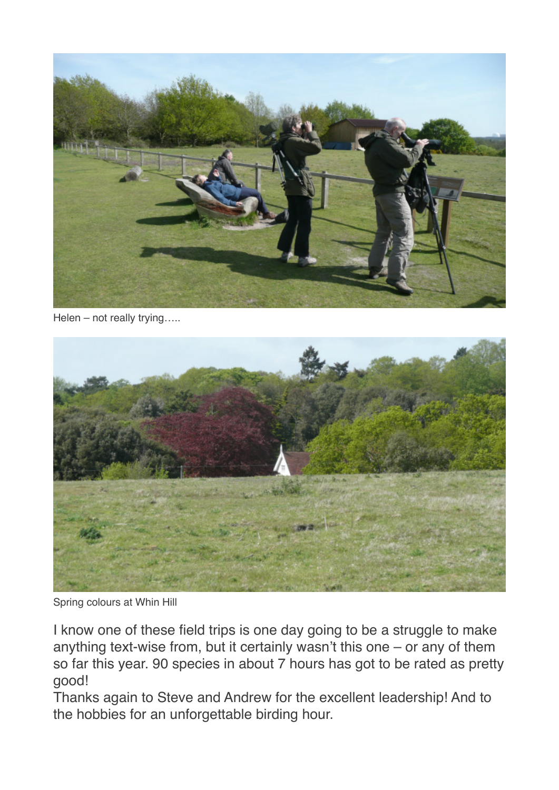

Helen – not really trying…..



Spring colours at Whin Hill

I know one of these field trips is one day going to be a struggle to make anything text-wise from, but it certainly wasn't this one – or any of them so far this year. 90 species in about 7 hours has got to be rated as pretty good!

Thanks again to Steve and Andrew for the excellent leadership! And to the hobbies for an unforgettable birding hour.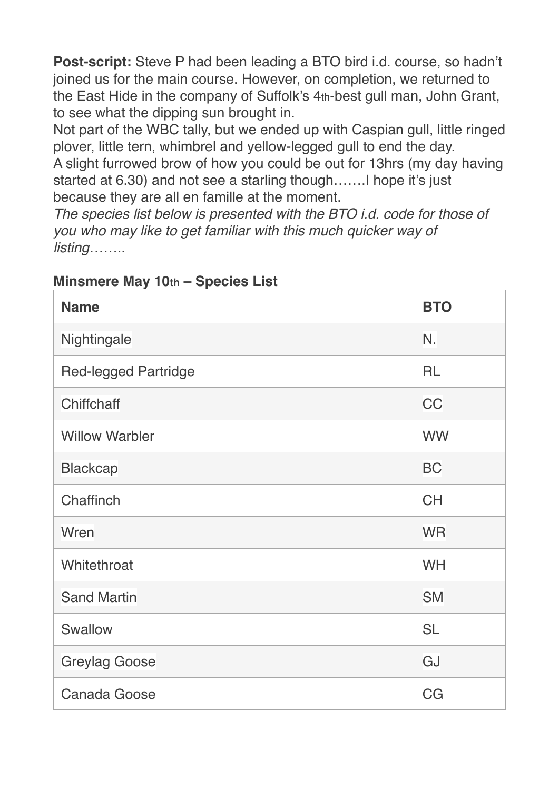**Post-script:** Steve P had been leading a BTO bird i.d. course, so hadn't joined us for the main course. However, on completion, we returned to the East Hide in the company of Suffolk's 4th-best gull man, John Grant, to see what the dipping sun brought in.

Not part of the WBC tally, but we ended up with Caspian gull, little ringed plover, little tern, whimbrel and yellow-legged gull to end the day.

A slight furrowed brow of how you could be out for 13hrs (my day having started at 6.30) and not see a starling though…….I hope it's just because they are all en famille at the moment.

*The species list below is presented with the BTO i.d. code for those of you who may like to get familiar with this much quicker way of listing……..* 

| <b>Name</b>                 | <b>BTO</b> |
|-----------------------------|------------|
| Nightingale                 | N.         |
| <b>Red-legged Partridge</b> | <b>RL</b>  |
| Chiffchaff                  | CC         |
| <b>Willow Warbler</b>       | <b>WW</b>  |
| <b>Blackcap</b>             | <b>BC</b>  |
| Chaffinch                   | <b>CH</b>  |
| Wren                        | <b>WR</b>  |
| Whitethroat                 | <b>WH</b>  |
| <b>Sand Martin</b>          | <b>SM</b>  |
| Swallow                     | <b>SL</b>  |
| <b>Greylag Goose</b>        | GJ         |
| <b>Canada Goose</b>         | CG         |

## **Minsmere May 10th – Species List**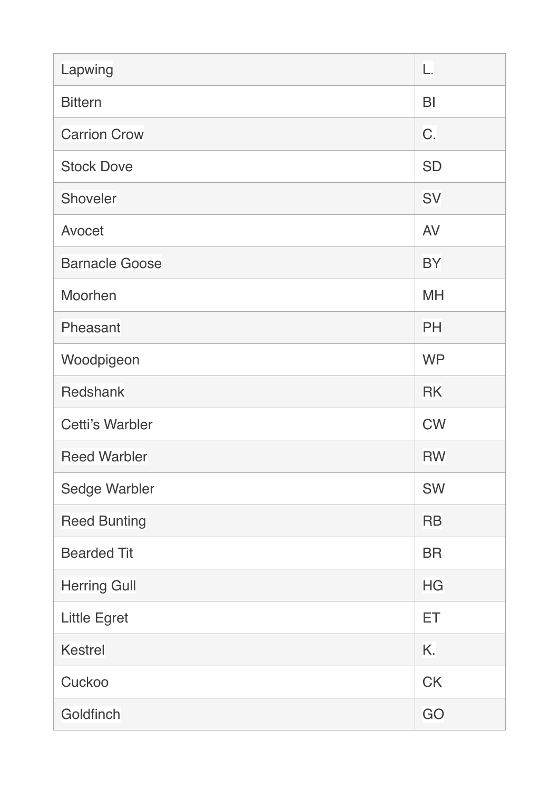| Lapwing                | L.             |
|------------------------|----------------|
| <b>Bittern</b>         | B <sub>l</sub> |
| <b>Carrion Crow</b>    | C.             |
| <b>Stock Dove</b>      | <b>SD</b>      |
| Shoveler               | <b>SV</b>      |
| Avocet                 | <b>AV</b>      |
| <b>Barnacle Goose</b>  | <b>BY</b>      |
| Moorhen                | <b>MH</b>      |
| Pheasant               | PH             |
| Woodpigeon             | <b>WP</b>      |
| Redshank               | <b>RK</b>      |
| <b>Cetti's Warbler</b> | <b>CW</b>      |
| <b>Reed Warbler</b>    | <b>RW</b>      |
| Sedge Warbler          | SW             |
| <b>Reed Bunting</b>    | <b>RB</b>      |
| <b>Bearded Tit</b>     | <b>BR</b>      |
| <b>Herring Gull</b>    | <b>HG</b>      |
| <b>Little Egret</b>    | ET             |
| <b>Kestrel</b>         | K.             |
| Cuckoo                 | <b>CK</b>      |
| Goldfinch              | GO             |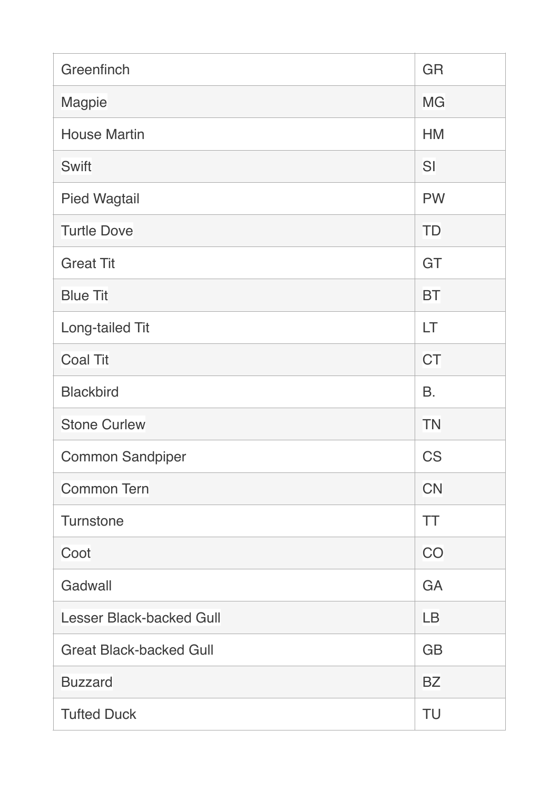| Greenfinch                      | GR        |
|---------------------------------|-----------|
| Magpie                          | <b>MG</b> |
| <b>House Martin</b>             | <b>HM</b> |
| Swift                           | SI        |
| <b>Pied Wagtail</b>             | <b>PW</b> |
| <b>Turtle Dove</b>              | <b>TD</b> |
| <b>Great Tit</b>                | GT        |
| <b>Blue Tit</b>                 | <b>BT</b> |
| Long-tailed Tit                 | LT        |
| <b>Coal Tit</b>                 | <b>CT</b> |
| <b>Blackbird</b>                | <b>B.</b> |
| <b>Stone Curlew</b>             | <b>TN</b> |
| <b>Common Sandpiper</b>         | <b>CS</b> |
| <b>Common Tern</b>              | <b>CN</b> |
| <b>Turnstone</b>                | TT        |
| Coot                            | CO        |
| Gadwall                         | GA        |
| <b>Lesser Black-backed Gull</b> | <b>LB</b> |
| <b>Great Black-backed Gull</b>  | <b>GB</b> |
| <b>Buzzard</b>                  | <b>BZ</b> |
| <b>Tufted Duck</b>              | TU        |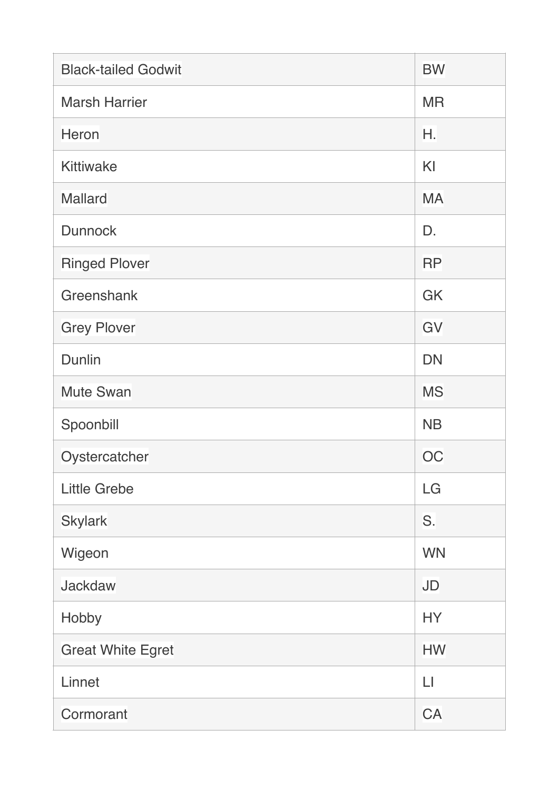| <b>Black-tailed Godwit</b> | <b>BW</b> |
|----------------------------|-----------|
| <b>Marsh Harrier</b>       | <b>MR</b> |
| <b>Heron</b>               | Η.        |
| <b>Kittiwake</b>           | KI        |
| <b>Mallard</b>             | <b>MA</b> |
| <b>Dunnock</b>             | D.        |
| <b>Ringed Plover</b>       | <b>RP</b> |
| Greenshank                 | GK        |
| <b>Grey Plover</b>         | GV        |
| Dunlin                     | <b>DN</b> |
| <b>Mute Swan</b>           | <b>MS</b> |
| Spoonbill                  | <b>NB</b> |
| Oystercatcher              | OC        |
| <b>Little Grebe</b>        | LG        |
| <b>Skylark</b>             | S.        |
| Wigeon                     | <b>WN</b> |
| <b>Jackdaw</b>             | <b>JD</b> |
| Hobby                      | <b>HY</b> |
| <b>Great White Egret</b>   | <b>HW</b> |
| Linnet                     | LI        |
| Cormorant                  | CA        |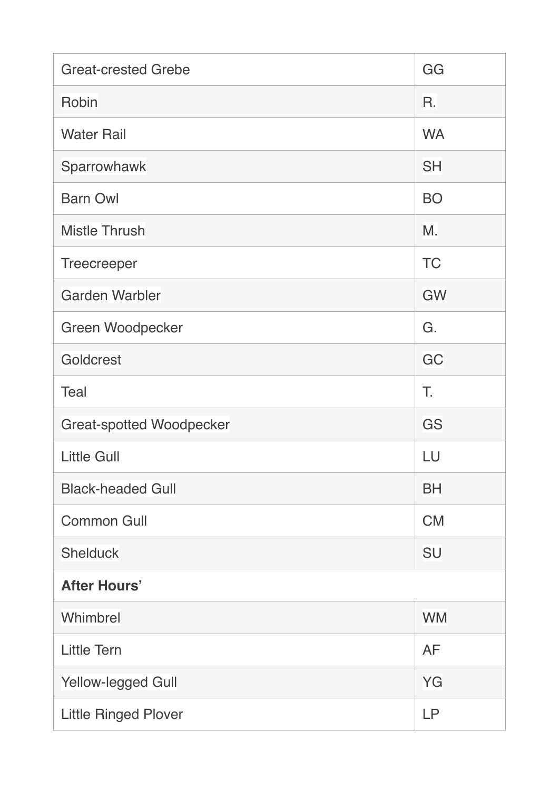| <b>Great-crested Grebe</b>      | GG        |
|---------------------------------|-----------|
| Robin                           | R.        |
| <b>Water Rail</b>               | <b>WA</b> |
| Sparrowhawk                     | <b>SH</b> |
| <b>Barn Owl</b>                 | <b>BO</b> |
| <b>Mistle Thrush</b>            | M.        |
| <b>Treecreeper</b>              | <b>TC</b> |
| <b>Garden Warbler</b>           | <b>GW</b> |
| Green Woodpecker                | G.        |
| Goldcrest                       | GC        |
| <b>Teal</b>                     | T.        |
| <b>Great-spotted Woodpecker</b> | GS        |
| <b>Little Gull</b>              | LU        |
| <b>Black-headed Gull</b>        | <b>BH</b> |
| <b>Common Gull</b>              | <b>CM</b> |
| <b>Shelduck</b>                 | <b>SU</b> |
| <b>After Hours'</b>             |           |
| Whimbrel                        | <b>WM</b> |
| <b>Little Tern</b>              | <b>AF</b> |
| Yellow-legged Gull              | YG        |
| <b>Little Ringed Plover</b>     | <b>LP</b> |